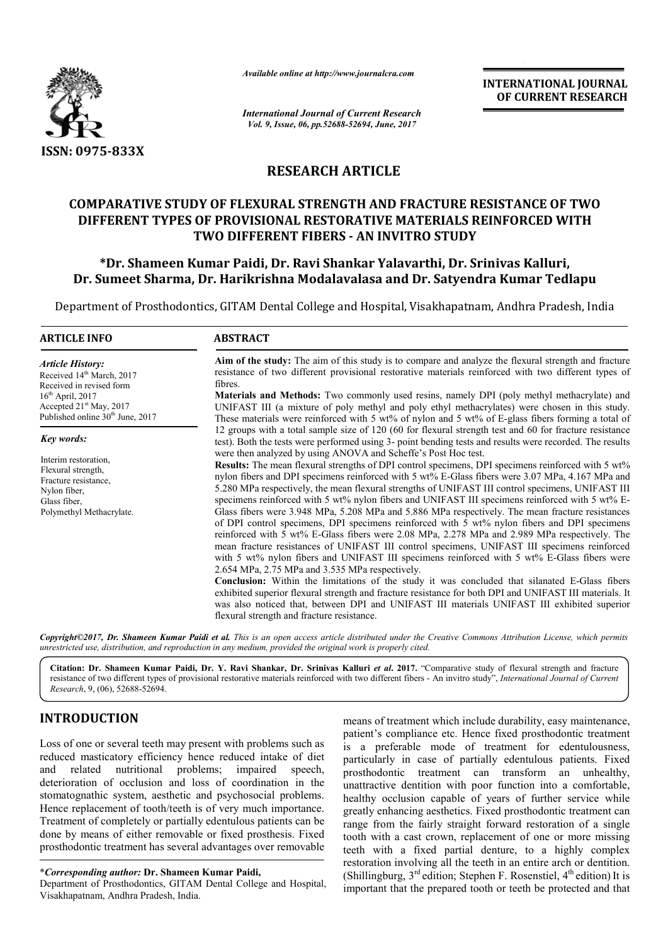

*Available online at http://www.journalcra.com*

*International Journal of Current Research Vol. 9, Issue, 06, pp.52688-52694, June, 2017*

**INTERNATIONAL JOURNAL OF CURRENT RESEARCH** 

## **RESEARCH ARTICLE**

## **COMPARATIVE STUDY OF FLEXURAL STRENGTH AND FRACTURE RESISTANCE OF TWO DIFFERENT TYPES OF PROVISIONAL RESTORATIVE MATERIALS REINFORCED WITH TWO DIFFERENT FIBERS - AN INVITRO STUDY**

## **\*Dr. Shameen Kumar Paidi, Dr. Ravi Shankar Yalavarthi, Dr. Srinivas Kalluri, Dr. Sumeet Sharma, Dr. Harikrishna Modalavalasa and Dr. Satyendra Kumar Tedlapu**

Department of Prosthodontics, GITAM Dental College and Hospital, Visakhapatnam, Andhra Pradesh, India

# **ARTICLE INFO ABSTRACT**

*Article History:* Received 14<sup>th</sup> March, 2017 Received in revised form  $16<sup>th</sup>$  April, 2017 Accepted 21<sup>st</sup> May, 2017 Published online 30<sup>th</sup> June, 2017

*Key words:*

Interim restoration, Flexural strength, Fracture resistance, Nylon fiber, Glass fiber Polymethyl Methacrylate.

**Aim of the study:** The aim of this study is to compare and analyze the flexural strength and fracture resistance of two different provisional restorative materials reinforced with two different types of fibres.

**Materials and Methods:** Two commonly used resins, namely DPI (poly methyl methacrylate) and UNIFAST III (a mixture of poly methyl and poly ethyl methacrylates) were chosen in this study. These materials were reinforced with 5 wt% of nylon and 5 wt% of E-glass fibers forming a total of 12 groups with a total sample size of 120 (60 for flexural strength test and 60 for fracture resistance test). Both the tests were performed using 3- point bending tests and results were recorded. The results were then analyzed by using ANOVA and Scheffe's Post Hoc test.

**Results:** The mean flexural strengths of DPI control specimens, DPI specimens reinforced with 5 wt% nylon fibers and DPI specimens reinforced with 5 wt% E-Glass fibers were 3.07 MPa, 4.167 MPa and 5.280 MPa respectively, the mean flexural strengths of UNIFAST III control specimens, UNIFAST III specimens reinforced with 5 wt% nylon fibers and UNIFAST III specimens reinforced with 5 wt% E-Glass fibers were 3.948 MPa, 5.208 MPa and 5.886 MPa respectively. The mean fracture resistances of DPI control specimens, DPI specimens reinforced with  $\bar{5}$  wt% nylon fibers and DPI specimens reinforced with 5 wt% E-Glass fibers were 2.08 MPa, 2.278 MPa and 2.989 MPa respectively. The mean fracture resistances of UNIFAST III control specimens, UNIFAST III specimens reinforced with 5 wt% nylon fibers and UNIFAST III specimens reinforced with 5 wt% E-Glass fibers were 2.654 MPa, 2.75 MPa and 3.535 MPa respectively.

**Conclusion:** Within the limitations of the study it was concluded that silanated E-Glass fibers exhibited superior flexural strength and fracture resistance for both DPI and UNIFAST III materials. It was also noticed that, between DPI and UNIFAST III materials UNIFAST III exhibited superior flexural strength and fracture resistance.

*Copyright©2017, Dr. Shameen Kumar Paidi et al. This is an open access article distributed under the Creative Commons Attribution License, which permits unrestricted use, distribution, and reproduction in any medium, provided the original work is properly cited.*

**Citation: Dr. Shameen Kumar Paidi, Dr. Y. Ravi Shankar, Dr. Srinivas Kalluri** *et al***. 2017.** "Comparative study of flexural strength and fracture resistance of two different types of provisional restorative materials reinforced with two different fibers - An invitro study", *International Journal of Current Research*, 9, (06), 52688-52694.

## **INTRODUCTION**

Loss of one or several teeth may present with problems such as reduced masticatory efficiency hence reduced intake of diet and related nutritional problems; impaired speech, deterioration of occlusion and loss of coordination in the stomatognathic system, aesthetic and psychosocial problems. Hence replacement of tooth/teeth is of very much importance. Treatment of completely or partially edentulous patients can be done by means of either removable or fixed prosthesis. Fixed prosthodontic treatment has several advantages over removable

\**Corresponding author:* **Dr. Shameen Kumar Paidi,**

Department of Prosthodontics, GITAM Dental College and Hospital, Visakhapatnam, Andhra Pradesh, India.

means of treatment which include durability, easy maintenance, patient's compliance etc. Hence fixed prosthodontic treatment is a preferable mode of treatment for edentulousness, particularly in case of partially edentulous patients. Fixed prosthodontic treatment can transform an unhealthy, unattractive dentition with poor function into a comfortable, healthy occlusion capable of years of further service while greatly enhancing aesthetics. Fixed prosthodontic treatment can range from the fairly straight forward restoration of a single tooth with a cast crown, replacement of one or more missing teeth with a fixed partial denture, to a highly complex restoration involving all the teeth in an entire arch or dentition. (Shillingburg,  $3<sup>rd</sup>$  edition; Stephen F. Rosenstiel,  $4<sup>th</sup>$  edition) It is important that the prepared tooth or teeth be protected and that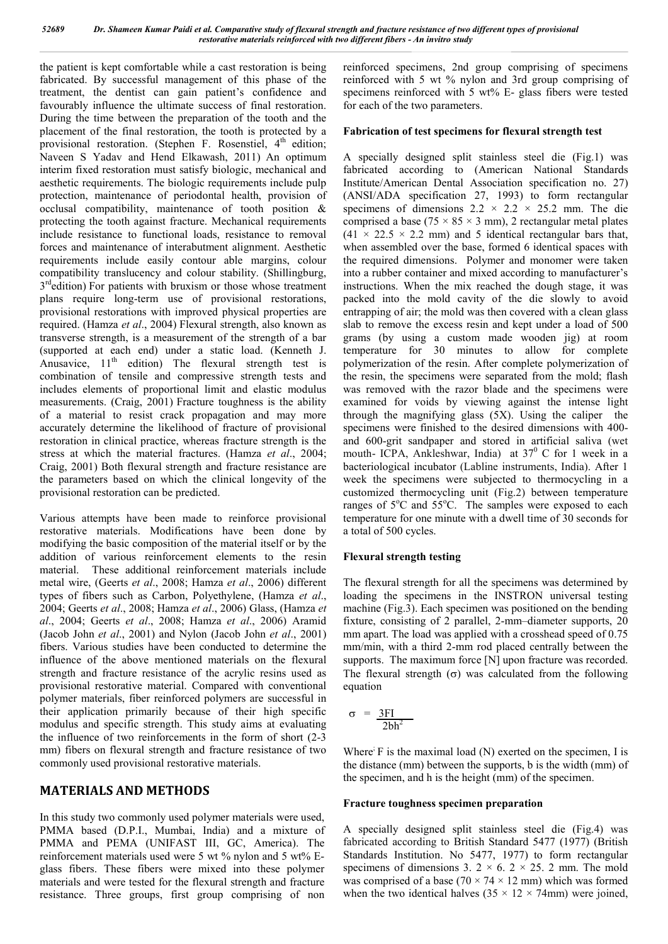the patient is kept comfortable while a cast restoration is being fabricated. By successful management of this phase of the treatment, the dentist can gain patient's confidence and favourably influence the ultimate success of final restoration. During the time between the preparation of the tooth and the placement of the final restoration, the tooth is protected by a provisional restoration. (Stephen F. Rosenstiel,  $4<sup>th</sup>$  edition; Naveen S Yadav and Hend Elkawash, 2011) An optimum interim fixed restoration must satisfy biologic, mechanical and aesthetic requirements. The biologic requirements include pulp protection, maintenance of periodontal health, provision of occlusal compatibility, maintenance of tooth position & protecting the tooth against fracture. Mechanical requirements include resistance to functional loads, resistance to removal forces and maintenance of interabutment alignment. Aesthetic requirements include easily contour able margins, colour compatibility translucency and colour stability. (Shillingburg, 3<sup>rd</sup>edition) For patients with bruxism or those whose treatment plans require long-term use of provisional restorations, provisional restorations with improved physical properties are required. (Hamza *et al*., 2004) Flexural strength, also known as transverse strength, is a measurement of the strength of a bar (supported at each end) under a static load. (Kenneth J. Anusavice,  $11<sup>th</sup>$  edition) The flexural strength test is combination of tensile and compressive strength tests and includes elements of proportional limit and elastic modulus measurements. (Craig, 2001) Fracture toughness is the ability of a material to resist crack propagation and may more accurately determine the likelihood of fracture of provisional restoration in clinical practice, whereas fracture strength is the stress at which the material fractures. (Hamza *et al*., 2004; Craig, 2001) Both flexural strength and fracture resistance are the parameters based on which the clinical longevity of the provisional restoration can be predicted.

Various attempts have been made to reinforce provisional restorative materials. Modifications have been done by modifying the basic composition of the material itself or by the addition of various reinforcement elements to the resin material. These additional reinforcement materials include metal wire, (Geerts *et al*., 2008; Hamza *et al*., 2006) different types of fibers such as Carbon, Polyethylene, (Hamza *et al*., 2004; Geerts *et al*., 2008; Hamza *et al*., 2006) Glass, (Hamza *et al*., 2004; Geerts *et al*., 2008; Hamza *et al*., 2006) Aramid (Jacob John *et al*., 2001) and Nylon (Jacob John *et al*., 2001) fibers. Various studies have been conducted to determine the influence of the above mentioned materials on the flexural strength and fracture resistance of the acrylic resins used as provisional restorative material. Compared with conventional polymer materials, fiber reinforced polymers are successful in their application primarily because of their high specific modulus and specific strength. This study aims at evaluating the influence of two reinforcements in the form of short (2-3 mm) fibers on flexural strength and fracture resistance of two commonly used provisional restorative materials.

## **MATERIALS AND METHODS**

In this study two commonly used polymer materials were used, PMMA based (D.P.I., Mumbai, India) and a mixture of PMMA and PEMA (UNIFAST III, GC, America). The reinforcement materials used were 5 wt % nylon and 5 wt% Eglass fibers. These fibers were mixed into these polymer materials and were tested for the flexural strength and fracture resistance. Three groups, first group comprising of non

reinforced specimens, 2nd group comprising of specimens reinforced with 5 wt % nylon and 3rd group comprising of specimens reinforced with 5 wt% E- glass fibers were tested for each of the two parameters.

#### **Fabrication of test specimens for flexural strength test**

A specially designed split stainless steel die (Fig.1) was fabricated according to (American National Standards Institute/American Dental Association specification no. 27) (ANSI/ADA specification 27, 1993) to form rectangular specimens of dimensions  $2.2 \times 2.2 \times 25.2$  mm. The die comprised a base ( $75 \times 85 \times 3$  mm), 2 rectangular metal plates  $(41 \times 22.5 \times 2.2 \text{ mm})$  and 5 identical rectangular bars that, when assembled over the base, formed 6 identical spaces with the required dimensions. Polymer and monomer were taken into a rubber container and mixed according to manufacturer's instructions. When the mix reached the dough stage, it was packed into the mold cavity of the die slowly to avoid entrapping of air; the mold was then covered with a clean glass slab to remove the excess resin and kept under a load of 500 grams (by using a custom made wooden jig) at room temperature for 30 minutes to allow for complete polymerization of the resin. After complete polymerization of the resin, the specimens were separated from the mold; flash was removed with the razor blade and the specimens were examined for voids by viewing against the intense light through the magnifying glass (5X). Using the caliper the specimens were finished to the desired dimensions with 400 and 600-grit sandpaper and stored in artificial saliva (wet mouth- ICPA, Ankleshwar, India) at  $37^{\circ}$  C for 1 week in a bacteriological incubator (Labline instruments, India). After 1 week the specimens were subjected to thermocycling in a customized thermocycling unit (Fig.2) between temperature ranges of 5°C and 55°C. The samples were exposed to each temperature for one minute with a dwell time of 30 seconds for a total of 500 cycles.

### **Flexural strength testing**

The flexural strength for all the specimens was determined by loading the specimens in the INSTRON universal testing machine (Fig.3). Each specimen was positioned on the bending fixture, consisting of 2 parallel, 2-mm–diameter supports, 20 mm apart. The load was applied with a crosshead speed of  $0.75$ mm/min, with a third 2-mm rod placed centrally between the supports. The maximum force [N] upon fracture was recorded. The flexural strength  $(\sigma)$  was calculated from the following equation

$$
\sigma = \frac{3FI}{2bh^2}
$$

Where<sup>;</sup> F is the maximal load (N) exerted on the specimen, I is the distance (mm) between the supports, b is the width (mm) of the specimen, and h is the height (mm) of the specimen.

#### **Fracture toughness specimen preparation**

A specially designed split stainless steel die (Fig.4) was fabricated according to British Standard 5477 (1977) (British Standards Institution. No 5477, 1977) to form rectangular specimens of dimensions 3.  $2 \times 6$ .  $2 \times 25$ . 2 mm. The mold was comprised of a base ( $70 \times 74 \times 12$  mm) which was formed when the two identical halves  $(35 \times 12 \times 74$ mm) were joined,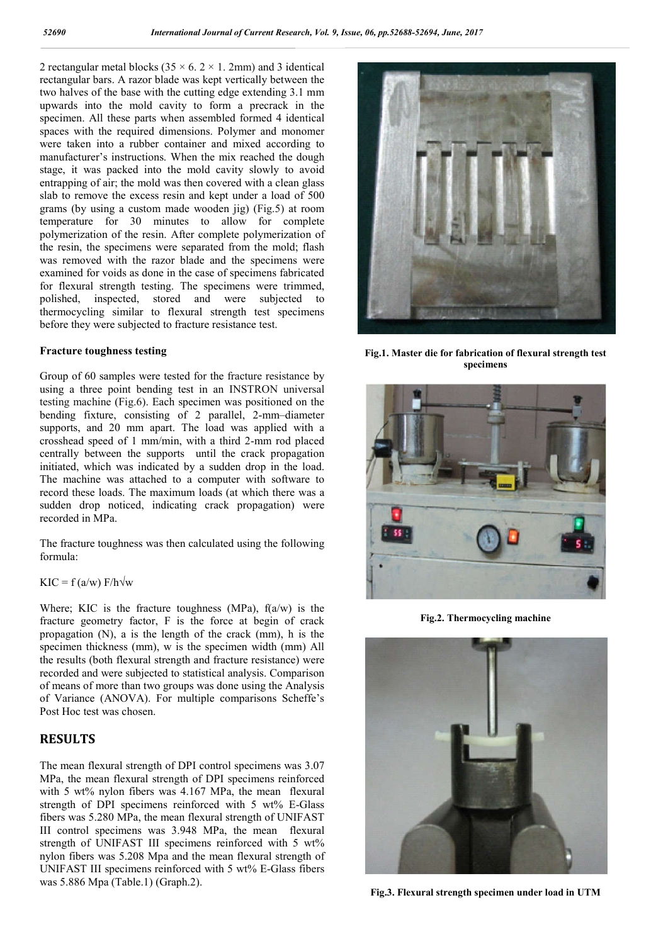2 rectangular metal blocks ( $35 \times 6$ .  $2 \times 1$ . 2mm) and 3 identical rectangular bars. A razor blade was kept vertically between the two halves of the base with the cutting edge extending 3.1 mm upwards into the mold cavity to form a precrack in the specimen. All these parts when assembled formed 4 identical spaces with the required dimensions. Polymer and monomer were taken into a rubber container and mixed according to manufacturer's instructions. When the mix reached the dough stage, it was packed into the mold cavity slowly to avoid entrapping of air; the mold was then covered with a clean glass slab to remove the excess resin and kept under a load of 500 grams (by using a custom made wooden jig) (Fig.5) at room temperature for 30 minutes to allow for complete polymerization of the resin. After complete polymerization of the resin, the specimens were separated from the mold; flash was removed with the razor blade and the specimens were examined for voids as done in the case of specimens fabricated for flexural strength testing. The specimens were trimmed, polished, inspected, stored and were subjected to thermocycling similar to flexural strength test specimens before they were subjected to fracture resistance test.

#### **Fracture toughness testing**

Group of 60 samples were tested for the fracture resistance by using a three point bending test in an INSTRON universal testing machine (Fig.6). Each specimen was positioned on the bending fixture, consisting of 2 parallel, 2-mm–diameter supports, and 20 mm apart. The load was applied with a crosshead speed of 1 mm/min, with a third 2-mm rod placed centrally between the supports until the crack propagation initiated, which was indicated by a sudden drop in the load. The machine was attached to a computer with software to record these loads. The maximum loads (at which there was a sudden drop noticed, indicating crack propagation) were recorded in MPa.

The fracture toughness was then calculated using the following formula:

#### $KIC = f (a/w) F/h \sqrt{w}$

Where; KIC is the fracture toughness (MPa),  $f(a/w)$  is the fracture geometry factor, F is the force at begin of crack propagation (N), a is the length of the crack (mm), h is the specimen thickness (mm), w is the specimen width (mm) All the results (both flexural strength and fracture resistance) were recorded and were subjected to statistical analysis. Comparison of means of more than two groups was done using the Analysis of Variance (ANOVA). For multiple comparisons Scheffe's Post Hoc test was chosen.

### **RESULTS**

The mean flexural strength of DPI control specimens was 3.07 MPa, the mean flexural strength of DPI specimens reinforced with 5 wt% nylon fibers was 4.167 MPa, the mean flexural strength of DPI specimens reinforced with 5 wt% E-Glass fibers was 5.280 MPa, the mean flexural strength of UNIFAST III control specimens was 3.948 MPa, the mean flexural strength of UNIFAST III specimens reinforced with 5 wt% nylon fibers was 5.208 Mpa and the mean flexural strength of UNIFAST III specimens reinforced with 5 wt% E-Glass fibers was 5.886 Mpa (Table.1) (Graph.2).



**Fig.1. Master die for fabrication of flexural strength test specimens**



**Fig.2. Thermocycling machine**



**Fig.3. Flexural strength specimen under load in UTM**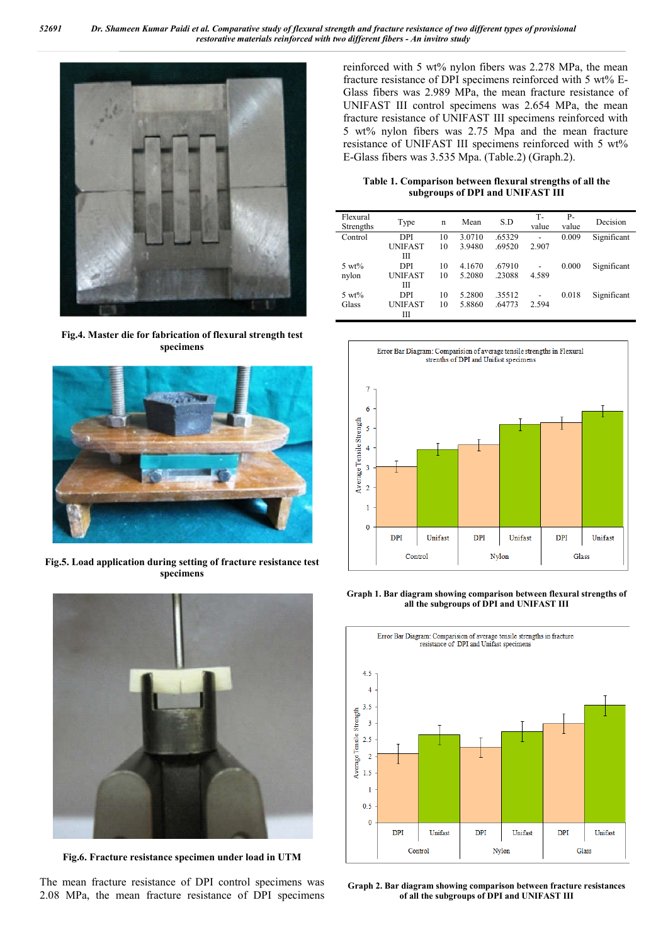

**Fig.4. Master die for fabrication of flexural strength test specimens**



**Fig.5. Load application during setting of fracture resistance test specimens**



**Fig.6. Fracture resistance specimen under load in UTM**

The mean fracture resistance of DPI control specimens was 2.08 MPa, the mean fracture resistance of DPI specimens reinforced with 5 wt% nylon fibers was 2.278 MPa, the mean fracture resistance of DPI specimens reinforced with 5 wt% E-Glass fibers was 2.989 MPa, the mean fracture resistance of UNIFAST III control specimens was 2.654 MPa, the mean fracture resistance of UNIFAST III specimens reinforced with 5 wt% nylon fibers was 2.75 Mpa and the mean fracture resistance of UNIFAST III specimens reinforced with 5 wt% E-Glass fibers was 3.535 Mpa. (Table.2) (Graph.2).

**Table 1. Comparison between flexural strengths of all the subgroups of DPI and UNIFAST III**

| Flexural<br>Strengths | Type           | n  | Mean   | S.D    | т-<br>value              | $P-$<br>value | Decision    |
|-----------------------|----------------|----|--------|--------|--------------------------|---------------|-------------|
| Control               | <b>DPI</b>     | 10 | 3.0710 | .65329 | $\overline{\phantom{a}}$ | 0.009         | Significant |
|                       | <b>UNIFAST</b> | 10 | 3.9480 | .69520 | 2.907                    |               |             |
|                       | Ш              |    |        |        |                          |               |             |
| $5 \text{ wt}$ %      | <b>DPI</b>     | 10 | 4.1670 | .67910 | $\overline{\phantom{a}}$ | 0.000         | Significant |
| nylon                 | <b>UNIFAST</b> | 10 | 5.2080 | .23088 | 4.589                    |               |             |
|                       | Ш              |    |        |        |                          |               |             |
| $5 \text{ wt}$ %      | <b>DPI</b>     | 10 | 5.2800 | .35512 | $\overline{\phantom{a}}$ | 0.018         | Significant |
| Glass                 | <b>UNIFAST</b> | 10 | 5.8860 | .64773 | 2.594                    |               |             |
|                       | Ш              |    |        |        |                          |               |             |



**Graph 1. Bar diagram showing comparison between flexural strengths of all the subgroups of DPI and UNIFAST III**



**Graph 2. Bar diagram showing comparison between fracture resistances of all the subgroups of DPI and UNIFAST III**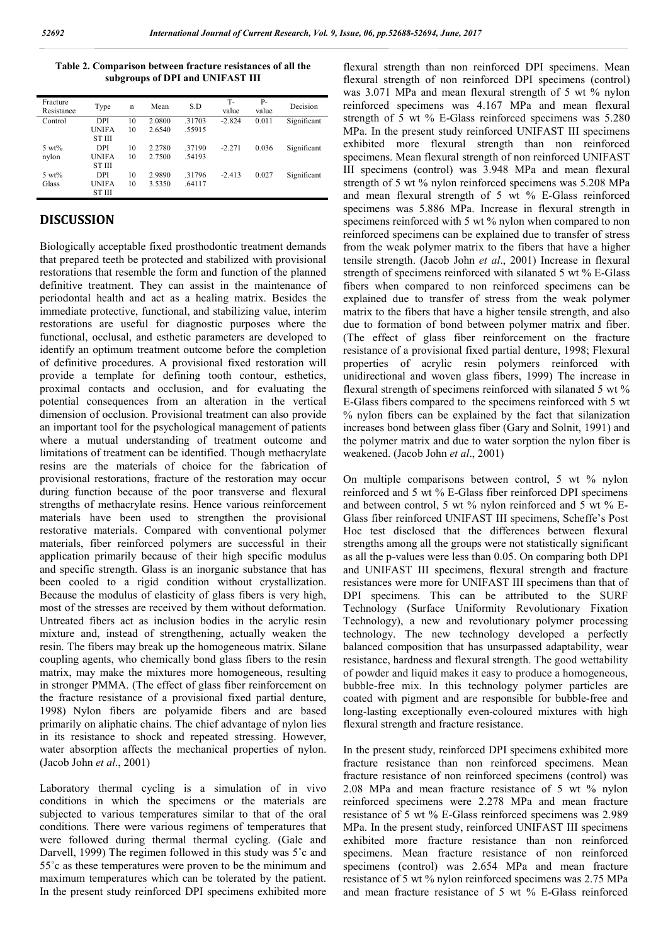**Table 2. Comparison between fracture resistances of all the subgroups of DPI and UNIFAST III**

| Fracture<br>Resistance | Type          | n  | Mean   | S.D    | Т-<br>value | $P-$<br>value | Decision    |
|------------------------|---------------|----|--------|--------|-------------|---------------|-------------|
| Control                | DPI           | 10 | 2.0800 | .31703 | $-2.824$    | 0.011         | Significant |
|                        | <b>UNIFA</b>  | 10 | 2.6540 | 55915  |             |               |             |
|                        | ST III        |    |        |        |             |               |             |
| $5 \text{ wt}$ %       | DPI           | 10 | 2.2780 | .37190 | $-2.271$    | 0.036         | Significant |
| nylon                  | <b>UNIFA</b>  | 10 | 2.7500 | 54193  |             |               |             |
|                        | <b>ST III</b> |    |        |        |             |               |             |
| $5 \text{ wt}$ %       | DPI           | 10 | 2.9890 | .31796 | $-2.413$    | 0.027         | Significant |
| Glass                  | <b>UNIFA</b>  | 10 | 3.5350 | .64117 |             |               |             |
|                        | ST III        |    |        |        |             |               |             |

### **DISCUSSION**

Biologically acceptable fixed prosthodontic treatment demands that prepared teeth be protected and stabilized with provisional restorations that resemble the form and function of the planned definitive treatment. They can assist in the maintenance of periodontal health and act as a healing matrix. Besides the immediate protective, functional, and stabilizing value, interim restorations are useful for diagnostic purposes where the functional, occlusal, and esthetic parameters are developed to identify an optimum treatment outcome before the completion of definitive procedures. A provisional fixed restoration will provide a template for defining tooth contour, esthetics, proximal contacts and occlusion, and for evaluating the potential consequences from an alteration in the vertical dimension of occlusion. Provisional treatment can also provide an important tool for the psychological management of patients where a mutual understanding of treatment outcome and limitations of treatment can be identified. Though methacrylate resins are the materials of choice for the fabrication of provisional restorations, fracture of the restoration may occur during function because of the poor transverse and flexural strengths of methacrylate resins. Hence various reinforcement materials have been used to strengthen the provisional restorative materials. Compared with conventional polymer materials, fiber reinforced polymers are successful in their application primarily because of their high specific modulus and specific strength. Glass is an inorganic substance that has been cooled to a rigid condition without crystallization. Because the modulus of elasticity of glass fibers is very high, most of the stresses are received by them without deformation. Untreated fibers act as inclusion bodies in the acrylic resin mixture and, instead of strengthening, actually weaken the resin. The fibers may break up the homogeneous matrix. Silane coupling agents, who chemically bond glass fibers to the resin matrix, may make the mixtures more homogeneous, resulting in stronger PMMA. (The effect of glass fiber reinforcement on the fracture resistance of a provisional fixed partial denture, 1998) Nylon fibers are polyamide fibers and are based primarily on aliphatic chains. The chief advantage of nylon lies in its resistance to shock and repeated stressing. However, water absorption affects the mechanical properties of nylon. (Jacob John *et al*., 2001)

Laboratory thermal cycling is a simulation of in vivo conditions in which the specimens or the materials are subjected to various temperatures similar to that of the oral conditions. There were various regimens of temperatures that were followed during thermal thermal cycling. (Gale and Darvell, 1999) The regimen followed in this study was 5<sup>°</sup>c and 55˚c as these temperatures were proven to be the minimum and maximum temperatures which can be tolerated by the patient. In the present study reinforced DPI specimens exhibited more

flexural strength than non reinforced DPI specimens. Mean flexural strength of non reinforced DPI specimens (control) was 3.071 MPa and mean flexural strength of 5 wt % nylon reinforced specimens was 4.167 MPa and mean flexural strength of 5 wt % E-Glass reinforced specimens was 5.280 MPa. In the present study reinforced UNIFAST III specimens exhibited more flexural strength than non reinforced specimens. Mean flexural strength of non reinforced UNIFAST III specimens (control) was 3.948 MPa and mean flexural strength of 5 wt % nylon reinforced specimens was 5.208 MPa and mean flexural strength of 5 wt % E-Glass reinforced specimens was 5.886 MPa. Increase in flexural strength in specimens reinforced with 5 wt % nylon when compared to non reinforced specimens can be explained due to transfer of stress from the weak polymer matrix to the fibers that have a higher tensile strength. (Jacob John *et al*., 2001) Increase in flexural strength of specimens reinforced with silanated 5 wt % E-Glass fibers when compared to non reinforced specimens can be explained due to transfer of stress from the weak polymer matrix to the fibers that have a higher tensile strength, and also due to formation of bond between polymer matrix and fiber. (The effect of glass fiber reinforcement on the fracture resistance of a provisional fixed partial denture, 1998; Flexural properties of acrylic resin polymers reinforced with unidirectional and woven glass fibers, 1999) The increase in flexural strength of specimens reinforced with silanated 5 wt % E-Glass fibers compared to the specimens reinforced with 5 wt % nylon fibers can be explained by the fact that silanization increases bond between glass fiber (Gary and Solnit, 1991) and the polymer matrix and due to water sorption the nylon fiber is weakened. (Jacob John *et al*., 2001)

On multiple comparisons between control, 5 wt % nylon reinforced and 5 wt % E-Glass fiber reinforced DPI specimens and between control, 5 wt % nylon reinforced and 5 wt % E-Glass fiber reinforced UNIFAST III specimens, Scheffe's Post Hoc test disclosed that the differences between flexural strengths among all the groups were not statistically significant as all the p-values were less than 0.05. On comparing both DPI and UNIFAST III specimens, flexural strength and fracture resistances were more for UNIFAST III specimens than that of DPI specimens. This can be attributed to the SURF Technology (Surface Uniformity Revolutionary Fixation Technology), a new and revolutionary polymer processing technology. The new technology developed a perfectly balanced composition that has unsurpassed adaptability, wear resistance, hardness and flexural strength. The good wettability of powder and liquid makes it easy to produce a homogeneous, bubble-free mix. In this technology polymer particles are coated with pigment and are responsible for bubble-free and long-lasting exceptionally even-coloured mixtures with high flexural strength and fracture resistance.

In the present study, reinforced DPI specimens exhibited more fracture resistance than non reinforced specimens. Mean fracture resistance of non reinforced specimens (control) was 2.08 MPa and mean fracture resistance of 5 wt % nylon reinforced specimens were 2.278 MPa and mean fracture resistance of 5 wt % E-Glass reinforced specimens was 2.989 MPa. In the present study, reinforced UNIFAST III specimens exhibited more fracture resistance than non reinforced specimens. Mean fracture resistance of non reinforced specimens (control) was 2.654 MPa and mean fracture resistance of 5 wt % nylon reinforced specimens was 2.75 MPa and mean fracture resistance of 5 wt % E-Glass reinforced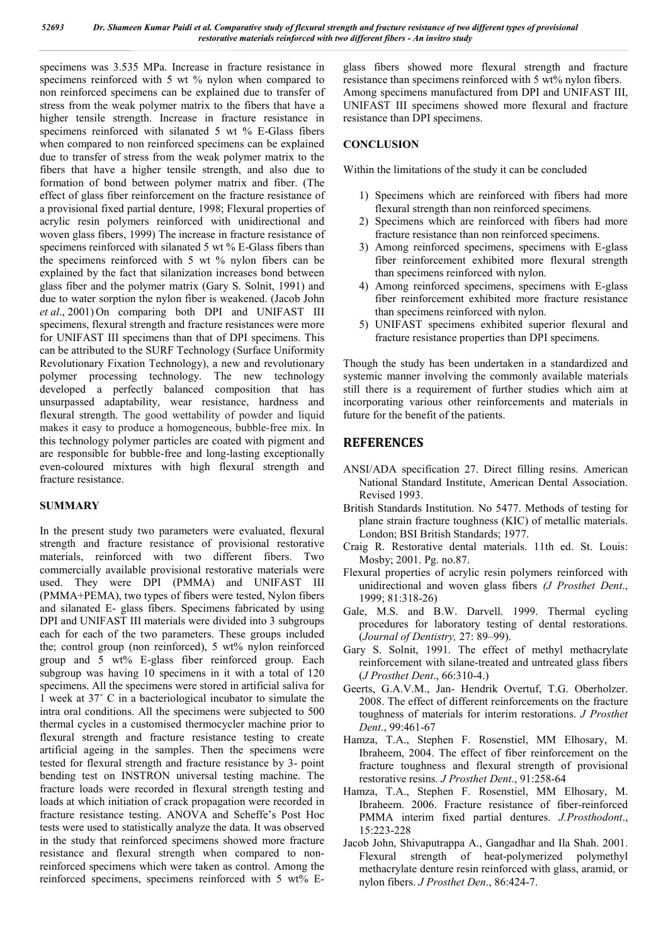specimens was 3.535 MPa. Increase in fracture resistance in specimens reinforced with 5 wt % nylon when compared to non reinforced specimens can be explained due to transfer of stress from the weak polymer matrix to the fibers that have a higher tensile strength. Increase in fracture resistance in specimens reinforced with silanated 5 wt % E-Glass fibers when compared to non reinforced specimens can be explained due to transfer of stress from the weak polymer matrix to the fibers that have a higher tensile strength, and also due to formation of bond between polymer matrix and fiber. (The effect of glass fiber reinforcement on the fracture resistance of a provisional fixed partial denture, 1998; Flexural properties of acrylic resin polymers reinforced with unidirectional and woven glass fibers, 1999) The increase in fracture resistance of specimens reinforced with silanated 5 wt % E-Glass fibers than the specimens reinforced with 5 wt % nylon fibers can be explained by the fact that silanization increases bond between glass fiber and the polymer matrix (Gary S. Solnit, 1991) and due to water sorption the nylon fiber is weakened. (Jacob John *et al*., 2001) On comparing both DPI and UNIFAST III specimens, flexural strength and fracture resistances were more for UNIFAST III specimens than that of DPI specimens. This can be attributed to the SURF Technology (Surface Uniformity Revolutionary Fixation Technology), a new and revolutionary polymer processing technology. The new technology developed a perfectly balanced composition that has unsurpassed adaptability, wear resistance, hardness and flexural strength. The good wettability of powder and liquid makes it easy to produce a homogeneous, bubble-free mix. In this technology polymer particles are coated with pigment and are responsible for bubble-free and long-lasting exceptionally even-coloured mixtures with high flexural strength and fracture resistance.

## **SUMMARY**

In the present study two parameters were evaluated, flexural strength and fracture resistance of provisional restorative materials, reinforced with two different fibers. Two commercially available provisional restorative materials were used. They were DPI (PMMA) and UNIFAST III (PMMA+PEMA), two types of fibers were tested, Nylon fibers and silanated E- glass fibers. Specimens fabricated by using DPI and UNIFAST III materials were divided into 3 subgroups each for each of the two parameters. These groups included the; control group (non reinforced), 5 wt% nylon reinforced group and 5 wt% E-glass fiber reinforced group. Each subgroup was having 10 specimens in it with a total of 120 specimens. All the specimens were stored in artificial saliva for 1 week at 37˚ C in a bacteriological incubator to simulate the intra oral conditions. All the specimens were subjected to 500 thermal cycles in a customised thermocycler machine prior to flexural strength and fracture resistance testing to create artificial ageing in the samples. Then the specimens were tested for flexural strength and fracture resistance by 3- point bending test on INSTRON universal testing machine. The fracture loads were recorded in flexural strength testing and loads at which initiation of crack propagation were recorded in fracture resistance testing. ANOVA and Scheffe's Post Hoc tests were used to statistically analyze the data. It was observed in the study that reinforced specimens showed more fracture resistance and flexural strength when compared to nonreinforced specimens which were taken as control. Among the reinforced specimens, specimens reinforced with 5 wt% E-

glass fibers showed more flexural strength and fracture resistance than specimens reinforced with 5 wt% nylon fibers. Among specimens manufactured from DPI and UNIFAST III, UNIFAST III specimens showed more flexural and fracture resistance than DPI specimens.

## **CONCLUSION**

Within the limitations of the study it can be concluded

- 1) Specimens which are reinforced with fibers had more flexural strength than non reinforced specimens.
- 2) Specimens which are reinforced with fibers had more fracture resistance than non reinforced specimens.
- 3) Among reinforced specimens, specimens with E-glass fiber reinforcement exhibited more flexural strength than specimens reinforced with nylon.
- 4) Among reinforced specimens, specimens with E-glass fiber reinforcement exhibited more fracture resistance than specimens reinforced with nylon.
- 5) UNIFAST specimens exhibited superior flexural and fracture resistance properties than DPI specimens.

Though the study has been undertaken in a standardized and systemic manner involving the commonly available materials still there is a requirement of further studies which aim at incorporating various other reinforcements and materials in future for the benefit of the patients.

## **REFERENCES**

- ANSI/ADA specification 27. Direct filling resins. American National Standard Institute, American Dental Association. Revised 1993.
- British Standards Institution. No 5477. Methods of testing for plane strain fracture toughness (KIC) of metallic materials. London; BSI British Standards; 1977.
- Craig R. Restorative dental materials. 11th ed. St. Louis: Mosby; 2001. Pg. no.87.
- Flexural properties of acrylic resin polymers reinforced with unidirectional and woven glass fibers *(J Prosthet Dent*., 1999; 81:318-26)
- Gale, M.S. and B.W. Darvell. 1999. Thermal cycling procedures for laboratory testing of dental restorations. (*Journal of Dentistry,* 27: 89–99).
- Gary S. Solnit, 1991. The effect of methyl methacrylate reinforcement with silane-treated and untreated glass fibers (*J Prosthet Dent*., 66:310-4.)
- Geerts, G.A.V.M., Jan- Hendrik Overtuf, T.G. Oberholzer. 2008. The effect of different reinforcements on the fracture toughness of materials for interim restorations. *J Prosthet Dent*., 99:461-67
- Hamza, T.A., Stephen F. Rosenstiel, MM Elhosary, M. Ibraheem, 2004. The effect of fiber reinforcement on the fracture toughness and flexural strength of provisional restorative resins. *J Prosthet Dent*., 91:258-64
- Hamza, T.A., Stephen F. Rosenstiel, MM Elhosary, M. Ibraheem. 2006. Fracture resistance of fiber-reinforced PMMA interim fixed partial dentures. *J.Prosthodont*., 15:223-228
- Jacob John, Shivaputrappa A., Gangadhar and Ila Shah. 2001. Flexural strength of heat-polymerized polymethyl methacrylate denture resin reinforced with glass, aramid, or nylon fibers. *J Prosthet Den*., 86:424-7.